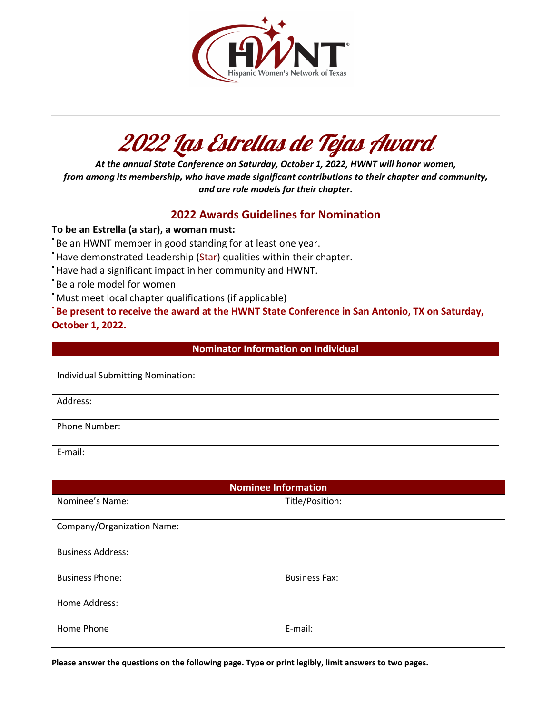

## 2022 Las Estrellas de Tejas Award

*At the annual State Conference on Saturday, October 1, 2022, HWNT will honor women, from among its membership, who have made significant contributions to their chapter and community, and are role models for their chapter.*

## **2022 Awards Guidelines for Nomination**

## **To be an Estrella (a star), a woman must:**

Be an HWNT member in good standing for at least one year.

- \* Have demonstrated Leadership (Star) qualities within their chapter.
- \*Have had a significant impact in her community and HWNT.
- \*Be a role model for women
- \*Must meet local chapter qualifications (if applicable)

**Be present to receive the award at the HWNT State Conference in San Antonio, TX on Saturday, October 1, 2022.**

**Nominator Information on Individual**

Individual Submitting Nomination:

Address:

Phone Number:

E-mail:

| <b>Nominee Information</b> |                      |
|----------------------------|----------------------|
| Nominee's Name:            | Title/Position:      |
| Company/Organization Name: |                      |
| <b>Business Address:</b>   |                      |
| <b>Business Phone:</b>     | <b>Business Fax:</b> |
| Home Address:              |                      |
| Home Phone                 | E-mail:              |

**Please answer the questions on the following page. Type or print legibly, limit answers to two pages.**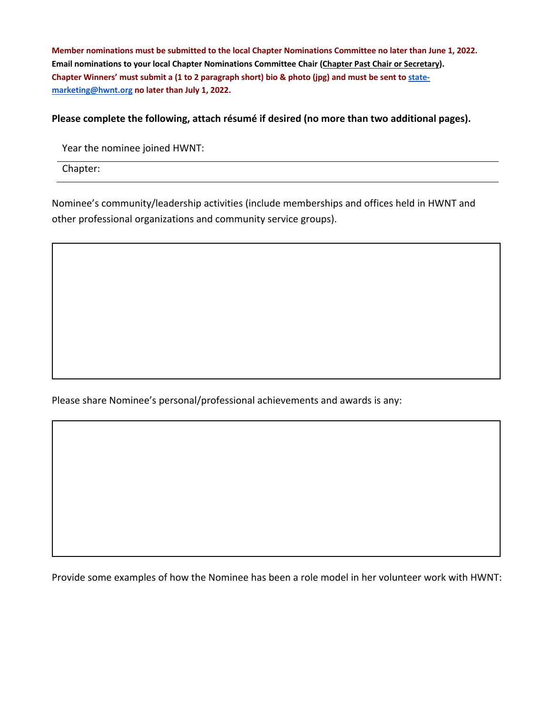**Member nominations must be submitted to the local Chapter Nominations Committee no later than June 1, 2022. Email nominations to your local Chapter Nominations Committee Chair (Chapter Past Chair or Secretary). Chapter Winners' must submit a (1 to 2 paragraph short) bio & photo (jpg) and must be sent to statemarketing@hwnt.org no later than July 1, 2022.** 

## **Please complete the following, attach résumé if desired (no more than two additional pages).**

Year the nominee joined HWNT:

Chapter:

Nominee's community/leadership activities (include memberships and offices held in HWNT and other professional organizations and community service groups).

Please share Nominee's personal/professional achievements and awards is any:

Provide some examples of how the Nominee has been a role model in her volunteer work with HWNT: